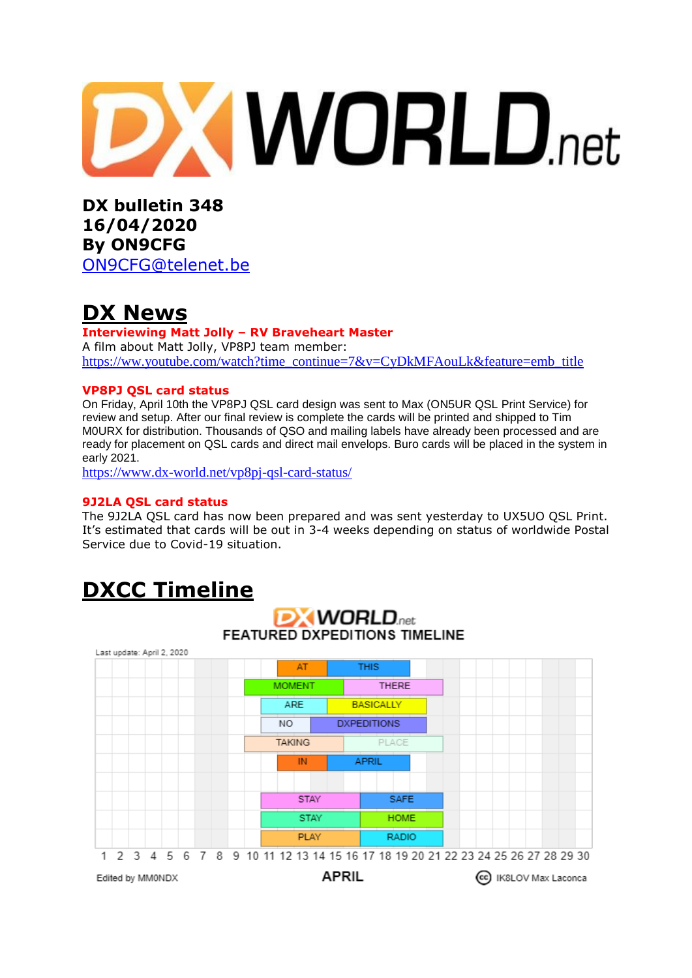

**DX bulletin 348 16/04/2020 By ON9CFG**  [ON9CFG@telenet.be](mailto:ON9CFG@telenet.be)

## **DX News**

#### **Interviewing Matt Jolly – RV Braveheart Master** A film about Matt Jolly, VP8PJ team member: [https://ww.youtube.com/watch?time\\_continue=7&v=CyDkMFAouLk&feature=emb\\_title](https://ww.youtube.com/watch?time_continue=7&v=CyDkMFAouLk&feature=emb_title)

### **VP8PJ QSL card status**

On Friday, April 10th the VP8PJ QSL card design was sent to Max (ON5UR QSL Print Service) for review and setup. After our final review is complete the cards will be printed and shipped to Tim M0URX for distribution. Thousands of QSO and mailing labels have already been processed and are ready for placement on QSL cards and direct mail envelops. Buro cards will be placed in the system in early 2021.

<https://www.dx-world.net/vp8pj-qsl-card-status/>

#### **9J2LA QSL card status**

The [9J2LA](https://www.dx-world.net/9j2la-zambia/) QSL card has now been prepared and was sent yesterday to UX5UO QSL Print. It's estimated that cards will be out in 3-4 weeks depending on status of worldwide Postal Service due to Covid-19 situation.

## **DXCC Timeline**

## **DX WORLD**<sub>net</sub> **FEATURED DXPEDITIONS TIMELINE**

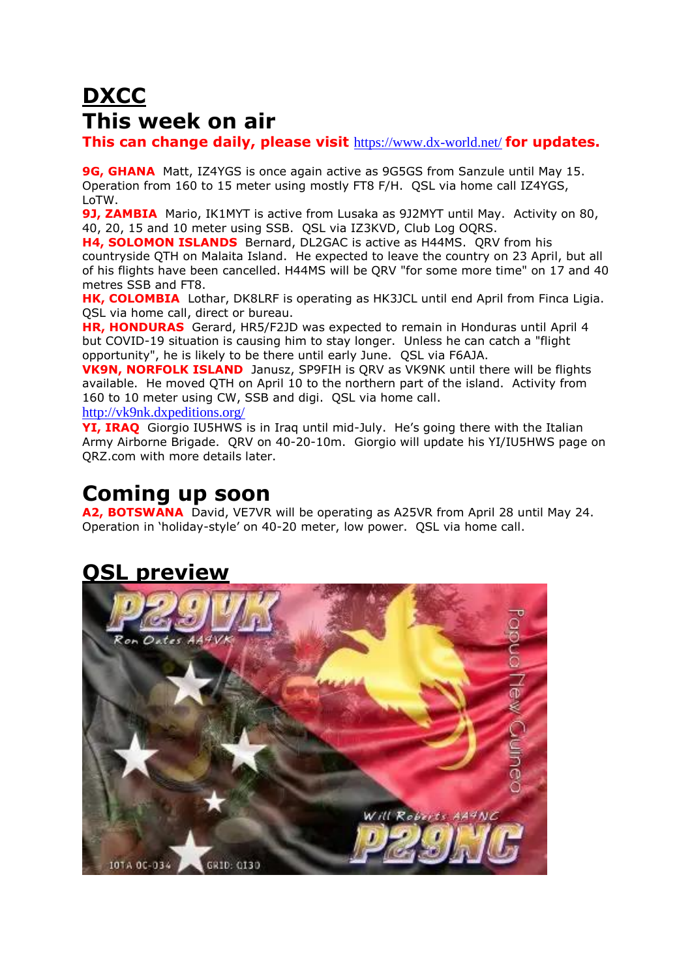# **DXCC This week on air**

**This can change daily, please visit** <https://www.dx-world.net/> **for updates.**

**9G, GHANA** Matt, IZ4YGS is once again active as 9G5GS from Sanzule until May 15. Operation from 160 to 15 meter using mostly FT8 F/H. QSL via home call IZ4YGS, LoTW.

**9J, ZAMBIA** Mario, IK1MYT is active from Lusaka as 9J2MYT until May. Activity on 80, 40, 20, 15 and 10 meter using SSB. QSL via IZ3KVD, Club Log OQRS.

**H4, SOLOMON ISLANDS** Bernard, DL2GAC is active as H44MS. QRV from his countryside QTH on Malaita Island. He expected to leave the country on 23 April, but all of his flights have been cancelled. H44MS will be QRV "for some more time" on 17 and 40 metres SSB and FT8.

**HK, COLOMBIA** Lothar, DK8LRF is operating as HK3JCL until end April from Finca Ligia. QSL via home call, direct or bureau.

**HR, HONDURAS** Gerard, HR5/F2JD was expected to remain in Honduras until April 4 but COVID-19 situation is causing him to stay longer. Unless he can catch a "flight opportunity", he is likely to be there until early June. QSL via F6AJA.

**VK9N, NORFOLK ISLAND** Janusz, SP9FIH is QRV as VK9NK until there will be flights available. He moved QTH on April 10 to the northern part of the island. Activity from 160 to 10 meter using CW, SSB and digi. QSL via home call.

<http://vk9nk.dxpeditions.org/>

**YI, IRAQ** Giorgio IU5HWS is in Iraq until mid-July. He's going there with the Italian Army Airborne Brigade. QRV on 40-20-10m. Giorgio will update his YI/IU5HWS page on QRZ.com with more details later.

## **Coming up soon**

**A2, BOTSWANA** David, VE7VR will be operating as A25VR from April 28 until May 24. Operation in 'holiday-style' on 40-20 meter, low power. QSL via home call.

# **QSL preview**

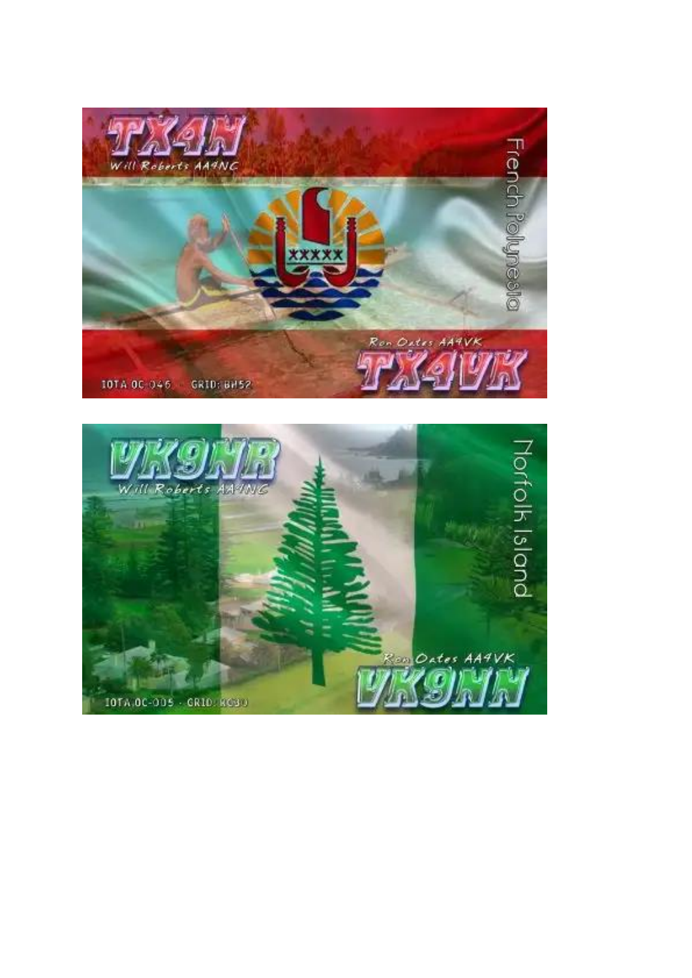

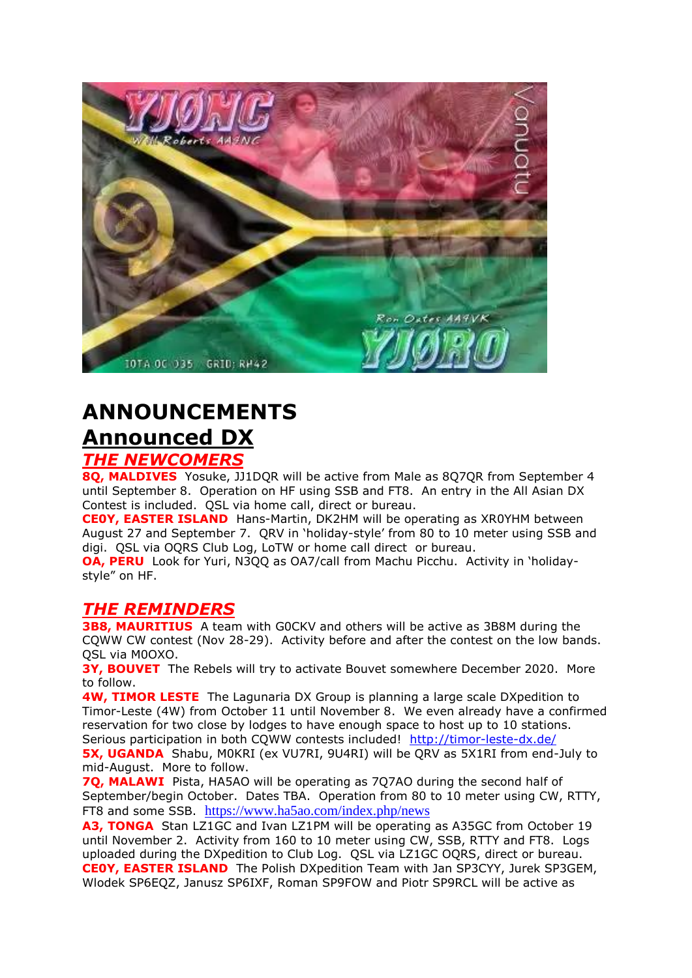

# **ANNOUNCEMENTS Announced DX**

### *THE NEWCOMERS*

**8Q, MALDIVES** Yosuke, JJ1DQR will be active from Male as 8Q7QR from September 4 until September 8. Operation on HF using SSB and FT8. An entry in the All Asian DX Contest is included. QSL via home call, direct or bureau.

**CE0Y, EASTER ISLAND** Hans-Martin, DK2HM will be operating as XR0YHM between August 27 and September 7. QRV in 'holiday-style' from 80 to 10 meter using SSB and digi. QSL via OQRS Club Log, LoTW or home call direct or bureau.

**OA, PERU** Look for Yuri, N3QQ as OA7/call from Machu Picchu. Activity in 'holidaystyle" on HF.

### *THE REMINDERS*

**3B8, MAURITIUS** A team with G0CKV and others will be active as 3B8M during the CQWW CW contest (Nov 28-29). Activity before and after the contest on the low bands. QSL via M0OXO.

**3Y, BOUVET** The Rebels will try to activate Bouvet somewhere December 2020. More to follow.

**4W, TIMOR LESTE** The Lagunaria DX Group is planning a large scale DXpedition to Timor-Leste (4W) from October 11 until November 8. We even already have a confirmed reservation for two close by lodges to have enough space to host up to 10 stations. Serious participation in both CQWW contests included! <http://timor-leste-dx.de/>

**5X, UGANDA** Shabu, M0KRI (ex VU7RI, 9U4RI) will be QRV as 5X1RI from end-July to mid-August. More to follow.

**7Q, MALAWI** Pista, HA5AO will be operating as 7Q7AO during the second half of September/begin October. Dates TBA. Operation from 80 to 10 meter using CW, RTTY, FT8 and some SSB. <https://www.ha5ao.com/index.php/news>

**A3, TONGA** Stan LZ1GC and Ivan LZ1PM will be operating as A35GC from October 19 until November 2. Activity from 160 to 10 meter using CW, SSB, RTTY and FT8. Logs uploaded during the DXpedition to Club Log. QSL via LZ1GC OQRS, direct or bureau. **CE0Y, EASTER ISLAND** The Polish DXpedition Team with Jan SP3CYY, Jurek SP3GEM, Wlodek SP6EQZ, Janusz SP6IXF, Roman SP9FOW and Piotr SP9RCL will be active as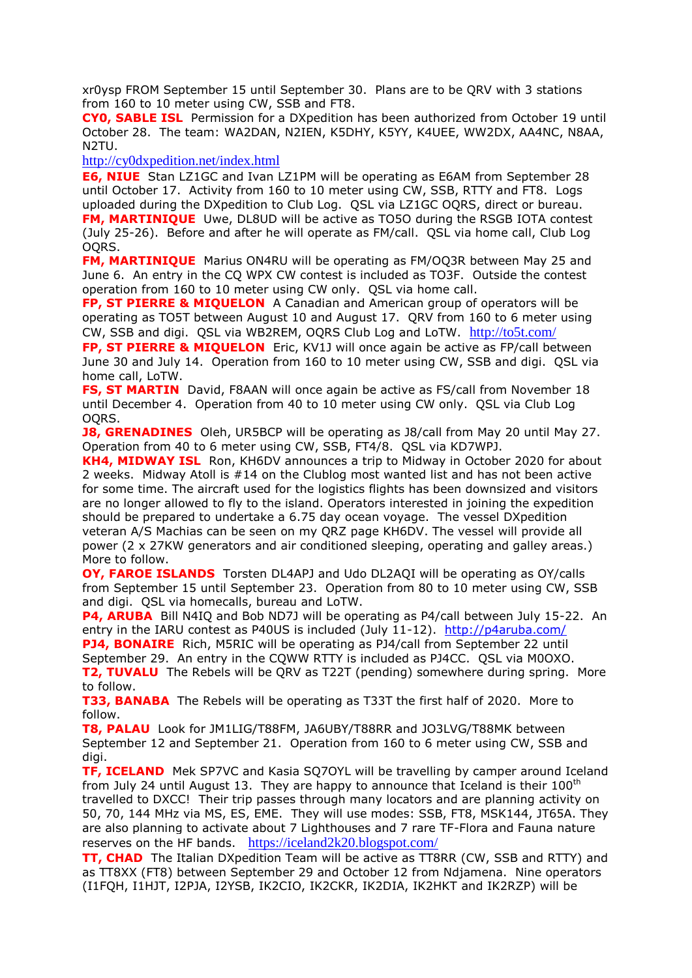xr0ysp FROM September 15 until September 30. Plans are to be QRV with 3 stations from 160 to 10 meter using CW, SSB and FT8.

**CY0, SABLE ISL** Permission for a DXpedition has been authorized from October 19 until October 28. The team: WA2DAN, N2IEN, K5DHY, K5YY, K4UEE, WW2DX, AA4NC, N8AA, N2TU.

<http://cy0dxpedition.net/index.html>

**E6, NIUE** Stan LZ1GC and Ivan LZ1PM will be operating as E6AM from September 28 until October 17. Activity from 160 to 10 meter using CW, SSB, RTTY and FT8. Logs uploaded during the DXpedition to Club Log. QSL via LZ1GC OQRS, direct or bureau. **FM, MARTINIQUE** Uwe, DL8UD will be active as TO5O during the RSGB IOTA contest (July 25-26). Before and after he will operate as FM/call. QSL via home call, Club Log OQRS.

**FM, MARTINIQUE** Marius ON4RU will be operating as FM/OQ3R between May 25 and June 6. An entry in the CQ WPX CW contest is included as TO3F. Outside the contest operation from 160 to 10 meter using CW only. QSL via home call.

**FP, ST PIERRE & MIQUELON** A Canadian and American group of operators will be operating as TO5T between August 10 and August 17. QRV from 160 to 6 meter using CW, SSB and digi. QSL via WB2REM, OQRS Club Log and LoTW. <http://to5t.com/>

**FP, ST PIERRE & MIQUELON** Eric, KV1J will once again be active as FP/call between June 30 and July 14. Operation from 160 to 10 meter using CW, SSB and digi. QSL via home call, LoTW.

**FS, ST MARTIN** David, F8AAN will once again be active as FS/call from November 18 until December 4. Operation from 40 to 10 meter using CW only. QSL via Club Log OQRS.

**J8, GRENADINES** Oleh, UR5BCP will be operating as J8/call from May 20 until May 27. Operation from 40 to 6 meter using CW, SSB, FT4/8. QSL via KD7WPJ.

**KH4, MIDWAY ISL** Ron, KH6DV announces a trip to Midway in October 2020 for about 2 weeks. Midway Atoll is #14 on the Clublog most wanted list and has not been active for some time. The aircraft used for the logistics flights has been downsized and visitors are no longer allowed to fly to the island. Operators interested in joining the expedition should be prepared to undertake a 6.75 day ocean voyage. The vessel DXpedition veteran A/S Machias can be seen on my QRZ page KH6DV. The vessel will provide all power (2 x 27KW generators and air conditioned sleeping, operating and galley areas.) More to follow.

**OY, FAROE ISLANDS** Torsten DL4APJ and Udo DL2AQI will be operating as OY/calls from September 15 until September 23. Operation from 80 to 10 meter using CW, SSB and digi. QSL via homecalls, bureau and LoTW.

**P4, ARUBA** Bill N4IQ and Bob ND7J will be operating as P4/call between July 15-22. An entry in the IARU contest as P40US is included (July 11-12). <http://p4aruba.com/> **PJ4, BONAIRE** Rich, M5RIC will be operating as PJ4/call from September 22 until

September 29. An entry in the CQWW RTTY is included as PJ4CC. QSL via M0OXO. **T2, TUVALU** The Rebels will be QRV as T22T (pending) somewhere during spring. More to follow.

**T33, BANABA** The Rebels will be operating as T33T the first half of 2020. More to follow.

**T8, PALAU** Look for JM1LIG/T88FM, JA6UBY/T88RR and JO3LVG/T88MK between September 12 and September 21. Operation from 160 to 6 meter using CW, SSB and digi.

**TF, ICELAND** Mek SP7VC and Kasia SQ7OYL will be travelling by camper around Iceland from July 24 until August 13. They are happy to announce that Iceland is their  $100<sup>th</sup>$ travelled to DXCC! Their trip passes through many locators and are planning activity on 50, 70, 144 MHz via MS, ES, EME. They will use modes: SSB, FT8, MSK144, JT65A. They are also planning to activate about 7 Lighthouses and 7 rare TF-Flora and Fauna nature reserves on the HF bands. <https://iceland2k20.blogspot.com/>

**TT, CHAD** The Italian DXpedition Team will be active as TT8RR (CW, SSB and RTTY) and as TT8XX (FT8) between September 29 and October 12 from Ndjamena. Nine operators (I1FQH, I1HJT, I2PJA, I2YSB, IK2CIO, IK2CKR, IK2DIA, IK2HKT and IK2RZP) will be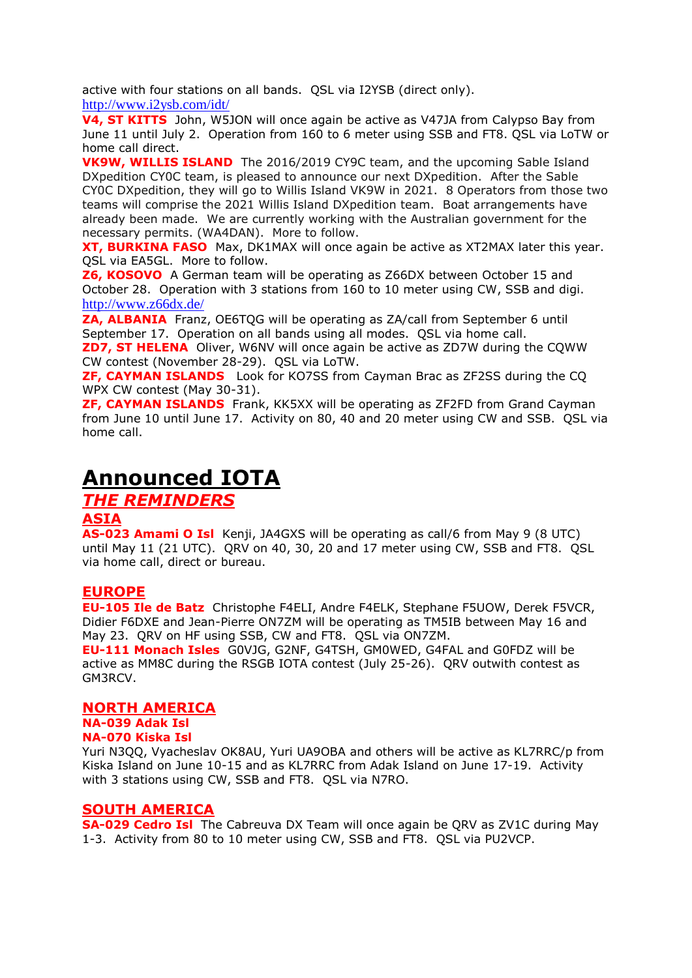active with four stations on all bands. QSL via I2YSB (direct only). <http://www.i2ysb.com/idt/>

**V4, ST KITTS** John, W5JON will once again be active as V47JA from Calypso Bay from June 11 until July 2. Operation from 160 to 6 meter using SSB and FT8. QSL via LoTW or home call direct.

**VK9W, WILLIS ISLAND** The 2016/2019 CY9C team, and the upcoming Sable Island DXpedition CY0C team, is pleased to announce our next DXpedition. After the Sable CY0C DXpedition, they will go to Willis Island VK9W in 2021. 8 Operators from those two teams will comprise the 2021 Willis Island DXpedition team. Boat arrangements have already been made. We are currently working with the Australian government for the necessary permits. (WA4DAN). More to follow.

**XT, BURKINA FASO** Max, DK1MAX will once again be active as XT2MAX later this year. QSL via EA5GL. More to follow.

**Z6, KOSOVO** A German team will be operating as Z66DX between October 15 and October 28. Operation with 3 stations from 160 to 10 meter using CW, SSB and digi. <http://www.z66dx.de/>

**ZA, ALBANIA** Franz, OE6TQG will be operating as ZA/call from September 6 until September 17. Operation on all bands using all modes. QSL via home call. **ZD7, ST HELENA** Oliver, W6NV will once again be active as ZD7W during the CQWW CW contest (November 28-29). QSL via LoTW.

**ZF, CAYMAN ISLANDS** Look for KO7SS from Cayman Brac as ZF2SS during the CQ WPX CW contest (May 30-31).

**ZF, CAYMAN ISLANDS** Frank, KK5XX will be operating as ZF2FD from Grand Cayman from June 10 until June 17. Activity on 80, 40 and 20 meter using CW and SSB. QSL via home call.

## **Announced IOTA**

## *THE REMINDERS*

### **ASIA**

**AS-023 Amami O Isl** Kenji, JA4GXS will be operating as call/6 from May 9 (8 UTC) until May 11 (21 UTC). QRV on 40, 30, 20 and 17 meter using CW, SSB and FT8. QSL via home call, direct or bureau.

### **EUROPE**

**EU-105 Ile de Batz** Christophe F4ELI, Andre F4ELK, Stephane F5UOW, Derek F5VCR, Didier F6DXE and Jean-Pierre ON7ZM will be operating as TM5IB between May 16 and May 23. QRV on HF using SSB, CW and FT8. QSL via ON7ZM.

**EU-111 Monach Isles** G0VJG, G2NF, G4TSH, GM0WED, G4FAL and G0FDZ will be active as MM8C during the RSGB IOTA contest (July 25-26). QRV outwith contest as GM3RCV.

### **NORTH AMERICA**

**NA-039 Adak Isl NA-070 Kiska Isl** 

Yuri N3QQ, Vyacheslav OK8AU, Yuri UA9OBA and others will be active as KL7RRC/p from Kiska Island on June 10-15 and as KL7RRC from Adak Island on June 17-19. Activity with 3 stations using CW, SSB and FT8. QSL via N7RO.

### **SOUTH AMERICA**

**SA-029 Cedro Isl** The Cabreuva DX Team will once again be QRV as ZV1C during May 1-3. Activity from 80 to 10 meter using CW, SSB and FT8. QSL via PU2VCP.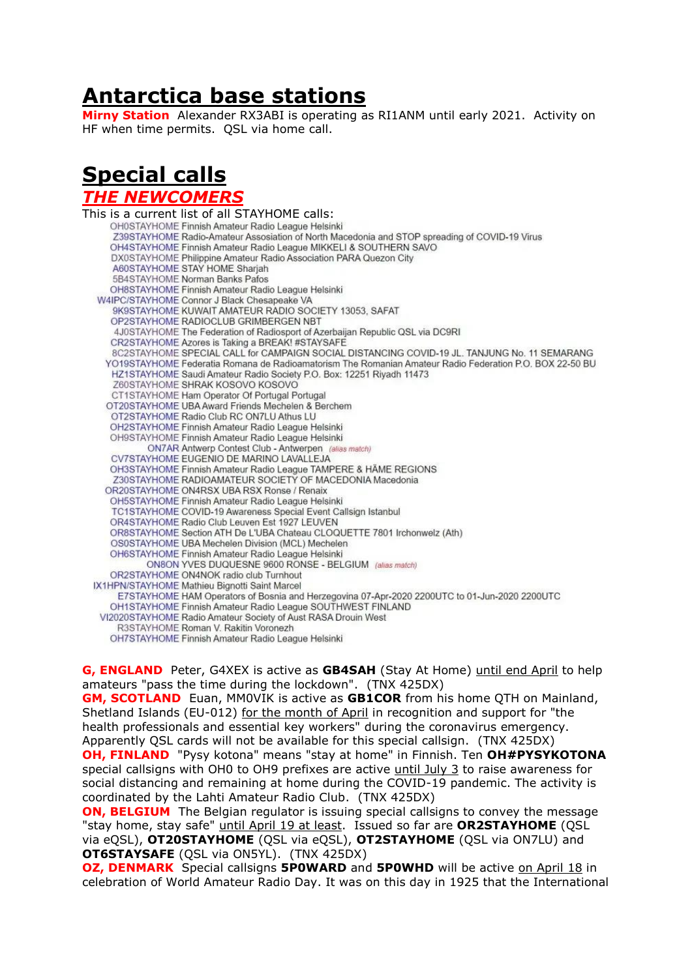## **Antarctica base stations**

**Mirny Station** Alexander RX3ABI is operating as RI1ANM until early 2021. Activity on HF when time permits. QSL via home call.

# **Special calls**

#### *THE NEWCOMERS*

This is a current list of all STAYHOME calls: Z39STAYHOME Radio-Amateur Assosiation of North Macedonia and STOP spreading of COVID-19 Virus OH4STAYHOME Finnish Amateur Radio League MIKKELI & SOUTHERN SAVO DX0STAYHOME Philippine Amateur Radio Association PARA Quezon City A60STAYHOME STAY HOME Sharjah 5B4STAYHOME Norman Banks Pafos OH8STAYHOME Finnish Amateur Radio League Helsinki W4IPC/STAYHOME Connor J Black Chesapeake VA 9K9STAYHOME KUWAIT AMATEUR RADIO SOCIETY 13053, SAFAT OP2STAYHOME RADIOCLUB GRIMBERGEN NBT 4J0STAYHOME The Federation of Radiosport of Azerbaijan Republic QSL via DC9RI CR2STAYHOME Azores is Taking a BREAK! #STAYSAFE 8C2STAYHOME SPECIAL CALL for CAMPAIGN SOCIAL DISTANCING COVID-19 JL. TANJUNG No. 11 SEMARANG YO19STAYHOME Federatia Romana de Radioamatorism The Romanian Amateur Radio Federation P.O. BOX 22-50 BU HZ1STAYHOME Saudi Amateur Radio Society P.O. Box: 12251 Riyadh 11473 Z60STAYHOME SHRAK KOSOVO KOSOVO CT1STAYHOME Ham Operator Of Portugal Portugal OT20STAYHOME UBA Award Friends Mechelen & Berchem OT2STAYHOME Radio Club RC ON7LU Athus LU OH2STAYHOME Finnish Amateur Radio League Helsinki OH9STAYHOME Finnish Amateur Radio League Helsinki ON7AR Antwerp Contest Club - Antwerpen (alias match) CV7STAYHOME EUGENIO DE MARINO LAVALLEJA OH3STAYHOME Finnish Amateur Radio League TAMPERE & HÄME REGIONS Z30STAYHOME RADIOAMATEUR SOCIETY OF MACEDONIA Macedonia OR20STAYHOME ON4RSX UBA RSX Ronse / Renaix OH5STAYHOME Finnish Amateur Radio League Helsinki TC1STAYHOME COVID-19 Awareness Special Event Callsign Istanbul OR4STAYHOME Radio Club Leuven Est 1927 LEUVEN OR8STAYHOME Section ATH De L'UBA Chateau CLOQUETTE 7801 Irchonwelz (Ath) OS0STAYHOME UBA Mechelen Division (MCL) Mechelen OH6STAYHOME Finnish Amateur Radio League Helsinki ON8ON YVES DUQUESNE 9600 RONSE - BELGIUM (alias match) OR2STAYHOME ON4NOK radio club Turnhout IX1HPN/STAYHOME Mathieu Bignotti Saint Marcel E7STAYHOME HAM Operators of Bosnia and Herzegovina 07-Apr-2020 2200UTC to 01-Jun-2020 2200UTC OH1STAYHOME Finnish Amateur Radio League SOUTHWEST FINLAND VI2020STAYHOME Radio Amateur Society of Aust RASA Drouin West R3STAYHOME Roman V. Rakitin Voronezh OH7STAYHOME Finnish Amateur Radio League Helsinki

**G, ENGLAND** Peter, G4XEX is active as **GB4SAH** (Stay At Home) until end April to help amateurs "pass the time during the lockdown". (TNX 425DX)

**GM, SCOTLAND** Euan, MM0VIK is active as **GB1COR** from his home QTH on Mainland, Shetland Islands (EU-012) for the month of April in recognition and support for "the health professionals and essential key workers" during the coronavirus emergency. Apparently QSL cards will not be available for this special callsign. (TNX 425DX) **OH, FINLAND** "Pysy kotona" means "stay at home" in Finnish. Ten **OH#PYSYKOTONA** special callsigns with OH0 to OH9 prefixes are active until July 3 to raise awareness for social distancing and remaining at home during the COVID-19 pandemic. The activity is coordinated by the Lahti Amateur Radio Club. (TNX 425DX)

**ON, BELGIUM** The Belgian regulator is issuing special callsigns to convey the message "stay home, stay safe" until April 19 at least. Issued so far are **OR2STAYHOME** (QSL via eQSL), **OT20STAYHOME** (QSL via eQSL), **OT2STAYHOME** (QSL via ON7LU) and **OT6STAYSAFE** (QSL via ON5YL). (TNX 425DX)

**OZ, DENMARK** Special callsigns **5P0WARD** and **5P0WHD** will be active on April 18 in celebration of World Amateur Radio Day. It was on this day in 1925 that the International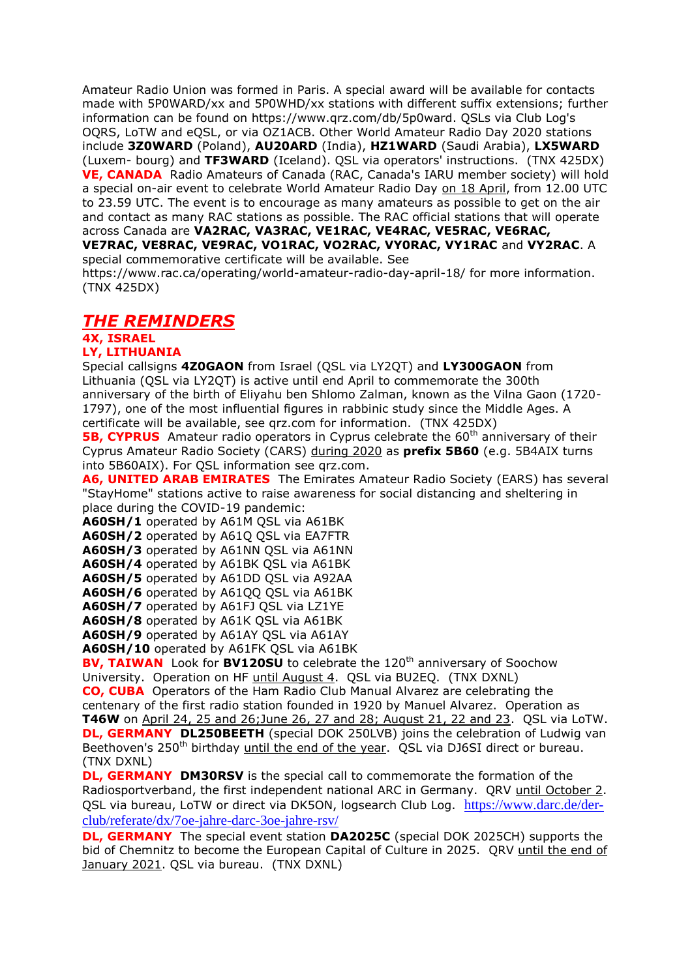Amateur Radio Union was formed in Paris. A special award will be available for contacts made with 5P0WARD/xx and 5P0WHD/xx stations with different suffix extensions; further information can be found on https://www.qrz.com/db/5p0ward. QSLs via Club Log's OQRS, LoTW and eQSL, or via OZ1ACB. Other World Amateur Radio Day 2020 stations include **3Z0WARD** (Poland), **AU20ARD** (India), **HZ1WARD** (Saudi Arabia), **LX5WARD** (Luxem- bourg) and **TF3WARD** (Iceland). QSL via operators' instructions. (TNX 425DX) **VE, CANADA** Radio Amateurs of Canada (RAC, Canada's IARU member society) will hold a special on-air event to celebrate World Amateur Radio Day on 18 April, from 12.00 UTC to 23.59 UTC. The event is to encourage as many amateurs as possible to get on the air and contact as many RAC stations as possible. The RAC official stations that will operate across Canada are **VA2RAC, VA3RAC, VE1RAC, VE4RAC, VE5RAC, VE6RAC, VE7RAC, VE8RAC, VE9RAC, VO1RAC, VO2RAC, VY0RAC, VY1RAC** and **VY2RAC**. A special commemorative certificate will be available. See

https://www.rac.ca/operating/world-amateur-radio-day-april-18/ for more information. (TNX 425DX)

### *THE REMINDERS*

## **4X, ISRAEL**

## **LY, LITHUANIA**

Special callsigns **4Z0GAON** from Israel (QSL via LY2QT) and **LY300GAON** from Lithuania (QSL via LY2QT) is active until end April to commemorate the 300th anniversary of the birth of Eliyahu ben Shlomo Zalman, known as the Vilna Gaon (1720- 1797), one of the most influential figures in rabbinic study since the Middle Ages. A certificate will be available, see qrz.com for information. (TNX 425DX)

**5B, CYPRUS** Amateur radio operators in Cyprus celebrate the 60<sup>th</sup> anniversary of their Cyprus Amateur Radio Society (CARS) during 2020 as **prefix 5B60** (e.g. 5B4AIX turns into 5B60AIX). For QSL information see qrz.com.

**A6, UNITED ARAB EMIRATES** The Emirates Amateur Radio Society (EARS) has several "StayHome" stations active to raise awareness for social distancing and sheltering in place during the COVID-19 pandemic:

**A60SH/1** operated by A61M QSL via A61BK

**A60SH/2** operated by A61Q QSL via EA7FTR

**A60SH/3** operated by A61NN QSL via A61NN

**A60SH/4** operated by A61BK QSL via A61BK

**A60SH/5** operated by A61DD QSL via A92AA

**A60SH/6** operated by A61QQ QSL via A61BK

**A60SH/7** operated by A61FJ QSL via LZ1YE

**A60SH/8** operated by A61K QSL via A61BK

**A60SH/9** operated by A61AY QSL via A61AY

**A60SH/10** operated by A61FK QSL via A61BK

**BV, TAIWAN** Look for **BV120SU** to celebrate the 120<sup>th</sup> anniversary of Soochow University. Operation on HF until August 4. QSL via BU2EQ. (TNX DXNL)

**CO, CUBA** Operators of the Ham Radio Club Manual Alvarez are celebrating the centenary of the first radio station founded in 1920 by Manuel Alvarez. Operation as **T46W** on April 24, 25 and 26;June 26, 27 and 28; August 21, 22 and 23. QSL via LoTW. **DL, GERMANY DL250BEETH** (special DOK 250LVB) joins the celebration of Ludwig van Beethoven's 250<sup>th</sup> birthday until the end of the year. QSL via DJ6SI direct or bureau. (TNX DXNL)

**DL, GERMANY DM30RSV** is the special call to commemorate the formation of the Radiosportverband, the first independent national ARC in Germany. QRV until October 2. QSL via bureau, LoTW or direct via DK5ON, logsearch Club Log. [https://www.darc.de/der](https://www.darc.de/der-club/referate/dx/7oe-jahre-darc-3oe-jahre-rsv/)[club/referate/dx/7oe-jahre-darc-3oe-jahre-rsv/](https://www.darc.de/der-club/referate/dx/7oe-jahre-darc-3oe-jahre-rsv/)

**DL, GERMANY** The special event station **DA2025C** (special DOK 2025CH) supports the bid of Chemnitz to become the European Capital of Culture in 2025. QRV until the end of January 2021. QSL via bureau. (TNX DXNL)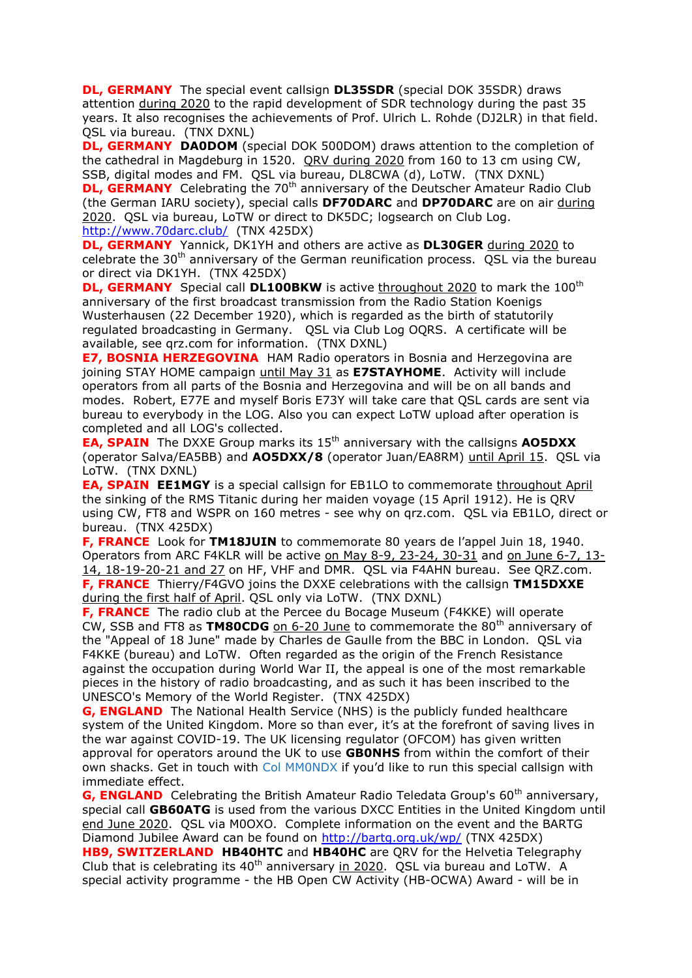**DL, GERMANY** The special event callsign **DL35SDR** (special DOK 35SDR) draws attention during 2020 to the rapid development of SDR technology during the past 35 years. It also recognises the achievements of Prof. Ulrich L. Rohde (DJ2LR) in that field. QSL via bureau. (TNX DXNL)

**DL, GERMANY DA0DOM** (special DOK 500DOM) draws attention to the completion of the cathedral in Magdeburg in 1520. QRV during 2020 from 160 to 13 cm using CW, SSB, digital modes and FM. QSL via bureau, DL8CWA (d), LoTW. (TNX DXNL)

**DL, GERMANY** Celebrating the 70<sup>th</sup> anniversary of the Deutscher Amateur Radio Club (the German IARU society), special calls **DF70DARC** and **DP70DARC** are on air during 2020. QSL via bureau, LoTW or direct to DK5DC; logsearch on Club Log. <http://www.70darc.club/>(TNX 425DX)

**DL, GERMANY** Yannick, DK1YH and others are active as **DL30GER** during 2020 to celebrate the  $30<sup>th</sup>$  anniversary of the German reunification process. QSL via the bureau or direct via DK1YH. (TNX 425DX)

**DL, GERMANY** Special call **DL100BKW** is active throughout 2020 to mark the 100<sup>th</sup> anniversary of the first broadcast transmission from the Radio Station Koenigs Wusterhausen (22 December 1920), which is regarded as the birth of statutorily regulated broadcasting in Germany. QSL via Club Log OQRS. A certificate will be available, see qrz.com for information. (TNX DXNL)

**E7, BOSNIA HERZEGOVINA** HAM Radio operators in Bosnia and Herzegovina are joining STAY HOME campaign until May 31 as **E7STAYHOME**. Activity will include operators from all parts of the Bosnia and Herzegovina and will be on all bands and modes. Robert, E77E and myself Boris E73Y will take care that QSL cards are sent via bureau to everybody in the LOG. Also you can expect LoTW upload after operation is completed and all LOG's collected.

**EA, SPAIN** The DXXE Group marks its 15<sup>th</sup> anniversary with the callsigns AO5DXX (operator Salva/EA5BB) and **AO5DXX/8** (operator Juan/EA8RM) until April 15. QSL via LoTW. (TNX DXNL)

**EA, SPAIN EE1MGY** is a special callsign for EB1LO to commemorate throughout April the sinking of the RMS Titanic during her maiden voyage (15 April 1912). He is QRV using CW, FT8 and WSPR on 160 metres - see why on qrz.com. QSL via EB1LO, direct or bureau. (TNX 425DX)

**F, FRANCE** Look for **TM18JUIN** to commemorate 80 years de l'appel Juin 18, 1940. Operators from ARC F4KLR will be active on May 8-9, 23-24, 30-31 and on June 6-7, 13- 14, 18-19-20-21 and 27 on HF, VHF and DMR. QSL via F4AHN bureau. See QRZ.com. **F, FRANCE** Thierry/F4GVO joins the DXXE celebrations with the callsign **TM15DXXE** during the first half of April. QSL only via LoTW. (TNX DXNL)

**F, FRANCE** The radio club at the Percee du Bocage Museum (F4KKE) will operate CW, SSB and FT8 as TM80CDG on 6-20 June to commemorate the 80<sup>th</sup> anniversary of the "Appeal of 18 June" made by Charles de Gaulle from the BBC in London. QSL via F4KKE (bureau) and LoTW. Often regarded as the origin of the French Resistance against the occupation during World War II, the appeal is one of the most remarkable pieces in the history of radio broadcasting, and as such it has been inscribed to the UNESCO's Memory of the World Register. (TNX 425DX)

**G, ENGLAND** The [National Health Service](https://www.nhs.uk/) (NHS) is the publicly funded healthcare system of the United Kingdom. More so than ever, it's at the forefront of saving lives in the war against COVID-19. The UK licensing regulator (OFCOM) has given written approval for operators around the UK to use **GB0NHS** from within the comfort of their own shacks. Get in touch with [Col MM0NDX](https://www.qrz.com/db/MM0NDX) if you'd like to run this special callsign with immediate effect.

**G, ENGLAND** Celebrating the British Amateur Radio Teledata Group's 60<sup>th</sup> anniversary, special call **GB60ATG** is used from the various DXCC Entities in the United Kingdom until end June 2020. QSL via M0OXO. Complete information on the event and the BARTG Diamond Jubilee Award can be found on<http://bartg.org.uk/wp/> (TNX 425DX) **HB9, SWITZERLAND HB40HTC** and **HB40HC** are QRV for the Helvetia Telegraphy Club that is celebrating its  $40<sup>th</sup>$  anniversary in 2020. QSL via bureau and LoTW. A special activity programme - the HB Open CW Activity (HB-OCWA) Award - will be in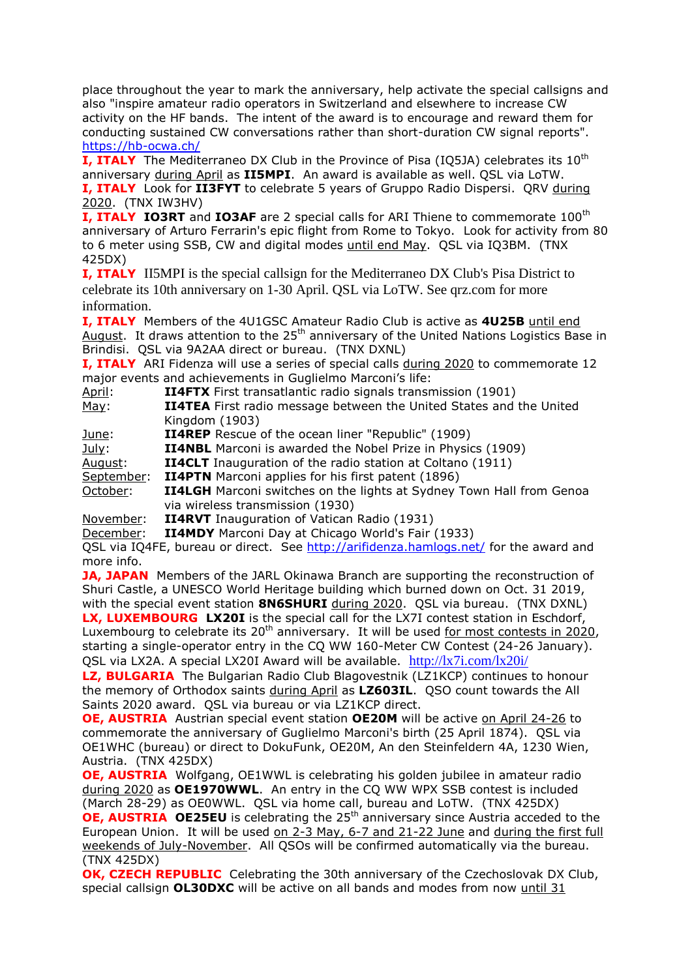place throughout the year to mark the anniversary, help activate the special callsigns and also "inspire amateur radio operators in Switzerland and elsewhere to increase CW activity on the HF bands. The intent of the award is to encourage and reward them for conducting sustained CW conversations rather than short-duration CW signal reports". <https://hb-ocwa.ch/>

**I. ITALY** The Mediterraneo DX Club in the Province of Pisa (IO5JA) celebrates its 10<sup>th</sup> anniversary during April as **II5MPI**. An award is available as well. QSL via LoTW. **I, ITALY** Look for **II3FYT** to celebrate 5 years of Gruppo Radio Dispersi. QRV during 2020. (TNX IW3HV)

**I, ITALY IO3RT** and IO3AF are 2 special calls for ARI Thiene to commemorate 100<sup>th</sup> anniversary of Arturo Ferrarin's epic flight from Rome to Tokyo. Look for activity from 80 to 6 meter using SSB, CW and digital modes until end May. QSL via IQ3BM. (TNX 425DX)

**I, ITALY** II5MPI is the special callsign for the Mediterraneo DX Club's Pisa District to celebrate its 10th anniversary on 1-30 April. QSL via LoTW. See qrz.com for more information.

**I, ITALY** Members of the 4U1GSC Amateur Radio Club is active as **4U25B** until end August. It draws attention to the  $25<sup>th</sup>$  anniversary of the United Nations Logistics Base in Brindisi. QSL via 9A2AA direct or bureau. (TNX DXNL)

**I, ITALY** ARI Fidenza will use a series of special calls during 2020 to commemorate 12 major events and achievements in Guglielmo Marconi's life:

| April:      | <b>II4FTX</b> First transatlantic radio signals transmission (1901)        |
|-------------|----------------------------------------------------------------------------|
| <u>May:</u> | <b>II4TEA</b> First radio message between the United States and the United |
|             | Kingdom (1903)                                                             |

June: **II4REP** Rescue of the ocean liner "Republic" (1909)

July: **II4NBL** Marconi is awarded the Nobel Prize in Physics (1909)

August: **II4CLT** Inauguration of the radio station at Coltano (1911)

September: **II4PTN** Marconi applies for his first patent (1896)

October: **II4LGH** Marconi switches on the lights at Sydney Town Hall from Genoa via wireless transmission (1930)

November: **II4RVT** Inauguration of Vatican Radio (1931)

December: **II4MDY** Marconi Day at Chicago World's Fair (1933)

QSL via IQ4FE, bureau or direct. See<http://arifidenza.hamlogs.net/> for the award and more info.

**JA, JAPAN** Members of the JARL Okinawa Branch are supporting the reconstruction of Shuri Castle, a UNESCO World Heritage building which burned down on Oct. 31 2019, with the special event station **8N6SHURI** during 2020. QSL via bureau. (TNX DXNL) **LX, LUXEMBOURG LX20I** is the special call for the LX7I contest station in Eschdorf, Luxembourg to celebrate its 20<sup>th</sup> anniversary. It will be used for most contests in 2020,

starting a single-operator entry in the CQ WW 160-Meter CW Contest (24-26 January). QSL via LX2A. A special LX20I Award will be available. <http://lx7i.com/lx20i/>

**LZ, BULGARIA** The Bulgarian Radio Club Blagovestnik (LZ1KCP) continues to honour the memory of Orthodox saints during April as **LZ603IL**. QSO count towards the All Saints 2020 award. QSL via bureau or via LZ1KCP direct.

**OE, AUSTRIA** Austrian special event station **OE20M** will be active on April 24-26 to commemorate the anniversary of Guglielmo Marconi's birth (25 April 1874). QSL via OE1WHC (bureau) or direct to DokuFunk, OE20M, An den Steinfeldern 4A, 1230 Wien, Austria. (TNX 425DX)

**OE, AUSTRIA** Wolfgang, OE1WWL is celebrating his golden jubilee in amateur radio during 2020 as **OE1970WWL**. An entry in the CQ WW WPX SSB contest is included (March 28-29) as OE0WWL. QSL via home call, bureau and LoTW. (TNX 425DX)

**OE, AUSTRIA OE25EU** is celebrating the 25<sup>th</sup> anniversary since Austria acceded to the European Union. It will be used on 2-3 May, 6-7 and 21-22 June and during the first full weekends of July-November. All QSOs will be confirmed automatically via the bureau. (TNX 425DX)

**OK, CZECH REPUBLIC** Celebrating the 30th anniversary of the Czechoslovak DX Club, special callsign **OL30DXC** will be active on all bands and modes from now until 31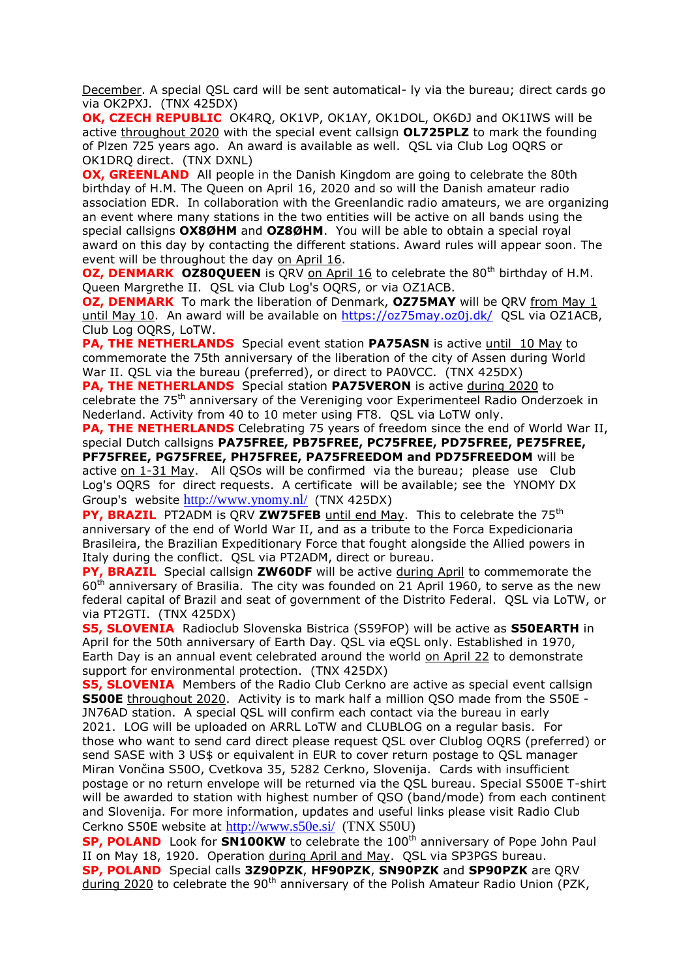December. A special QSL card will be sent automatical- ly via the bureau; direct cards go via OK2PXJ. (TNX 425DX)

**OK, CZECH REPUBLIC** OK4RQ, OK1VP, OK1AY, OK1DOL, OK6DJ and OK1IWS will be active throughout 2020 with the special event callsign **OL725PLZ** to mark the founding of Plzen 725 years ago. An award is available as well. QSL via Club Log OQRS or OK1DRQ direct. (TNX DXNL)

**OX, GREENLAND** All people in the Danish Kingdom are going to celebrate the 80th birthday of H.M. The Queen on April 16, 2020 and so will the Danish amateur radio association EDR. In collaboration with the Greenlandic radio amateurs, we are organizing an event where many stations in the two entities will be active on all bands using the special callsigns **OX8ØHM** and **OZ8ØHM**. You will be able to obtain a special royal award on this day by contacting the different stations. Award rules will appear soon. The event will be throughout the day on April 16.

**OZ, DENMARK OZ80QUEEN** is QRV on April 16 to celebrate the 80<sup>th</sup> birthday of H.M. Queen Margrethe II. QSL via Club Log's OQRS, or via OZ1ACB.

**OZ, DENMARK** To mark the liberation of Denmark, **OZ75MAY** will be QRV from May 1 until May 10. An award will be available on<https://oz75may.oz0j.dk/>OSL via OZ1ACB, Club Log OQRS, LoTW.

**PA, THE NETHERLANDS** Special event station **PA75ASN** is active until 10 May to commemorate the 75th anniversary of the liberation of the city of Assen during World War II. QSL via the bureau (preferred), or direct to PA0VCC. (TNX 425DX)

**PA, THE NETHERLANDS** Special station **PA75VERON** is active during 2020 to celebrate the 75th anniversary of the Vereniging voor Experimenteel Radio Onderzoek in Nederland. Activity from 40 to 10 meter using FT8. QSL via LoTW only.

**PA, THE NETHERLANDS** Celebrating 75 years of freedom since the end of World War II, special Dutch callsigns **PA75FREE, PB75FREE, PC75FREE, PD75FREE, PE75FREE, PF75FREE, PG75FREE, PH75FREE, PA75FREEDOM and PD75FREEDOM** will be active on 1-31 May. All QSOs will be confirmed via the bureau; please use Club Log's OQRS for direct requests. A certificate will be available; see the YNOMY DX Group's website <http://www.ynomy.nl/>(TNX 425DX)

**PY, BRAZIL** PT2ADM is QRV **ZW75FEB** until end May. This to celebrate the 75<sup>th</sup> anniversary of the end of World War II, and as a tribute to the Forca Expedicionaria Brasileira, the Brazilian Expeditionary Force that fought alongside the Allied powers in Italy during the conflict. QSL via PT2ADM, direct or bureau.

**PY, BRAZIL** Special callsign **ZW60DF** will be active during April to commemorate the  $60<sup>th</sup>$  anniversary of Brasilia. The city was founded on 21 April 1960, to serve as the new federal capital of Brazil and seat of government of the Distrito Federal. QSL via LoTW, or via PT2GTI. (TNX 425DX)

**S5, SLOVENIA** Radioclub Slovenska Bistrica (S59FOP) will be active as **S50EARTH** in April for the 50th anniversary of Earth Day. QSL via eQSL only. Established in 1970, Earth Day is an annual event celebrated around the world on April 22 to demonstrate support for environmental protection. (TNX 425DX)

**S5, SLOVENIA** Members of the Radio Club Cerkno are active as special event callsign **S500E** throughout 2020. Activity is to mark half a million QSO made from the S50E - JN76AD station. A special QSL will confirm each contact via the bureau in early 2021. LOG will be uploaded on ARRL LoTW and CLUBLOG on a regular basis. For those who want to send card direct please request QSL over Clublog OQRS (preferred) or send SASE with 3 US\$ or equivalent in EUR to cover return postage to QSL manager Miran Vončina S50O, Cvetkova 35, 5282 Cerkno, Slovenija. Cards with insufficient postage or no return envelope will be returned via the QSL bureau. Special S500E T-shirt will be awarded to station with highest number of QSO (band/mode) from each continent and Slovenija. For more information, updates and useful links please visit Radio Club Cerkno S50E website at <http://www.s50e.si/>(TNX S50U)

**SP, POLAND** Look for **SN100KW** to celebrate the 100<sup>th</sup> anniversary of Pope John Paul II on May 18, 1920. Operation during April and May. QSL via SP3PGS bureau. **SP, POLAND** Special calls **3Z90PZK**, **HF90PZK**, **SN90PZK** and **SP90PZK** are QRV during 2020 to celebrate the 90<sup>th</sup> anniversary of the Polish Amateur Radio Union (PZK,